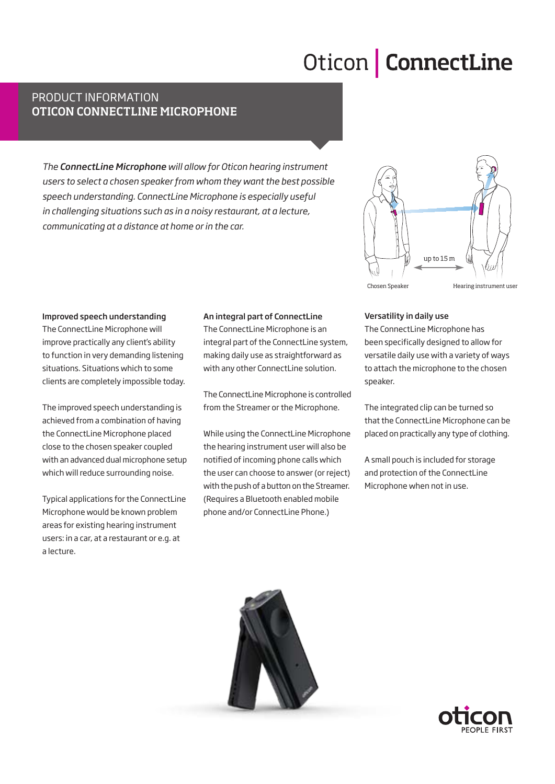# Oticon **ConnectLine**

## product information Oticon connectline microphone

*The ConnectLine Microphone will allow for Oticon hearing instrument users to select a chosen speaker from whom they want the best possible speech understanding. ConnectLine Microphone is especially useful in challenging situations such as in a noisy restaurant, at a lecture, communicating at a distance at home or in the car.*



#### Improved speech understanding

The ConnectLine Microphone will improve practically any client's ability to function in very demanding listening situations. Situations which to some clients are completely impossible today.

The improved speech understanding is achieved from a combination of having the ConnectLine Microphone placed close to the chosen speaker coupled with an advanced dual microphone setup which will reduce surrounding noise.

Typical applications for the ConnectLine Microphone would be known problem areas for existing hearing instrument users: in a car, at a restaurant or e.g. at a lecture.

#### An integral part of ConnectLine

The ConnectLine Microphone is an integral part of the ConnectLine system, making daily use as straightforward as with any other ConnectLine solution.

The ConnectLine Microphone is controlled from the Streamer or the Microphone.

While using the ConnectLine Microphone the hearing instrument user will also be notified of incoming phone calls which the user can choose to answer (or reject) with the push of a button on the Streamer. (Requires a Bluetooth enabled mobile phone and/or ConnectLine Phone.)

#### Versatility in daily use

The ConnectLine Microphone has been specifically designed to allow for versatile daily use with a variety of ways to attach the microphone to the chosen speaker.

The integrated clip can be turned so that the ConnectLine Microphone can be placed on practically any type of clothing.

A small pouch is included for storage and protection of the ConnectLine Microphone when not in use.